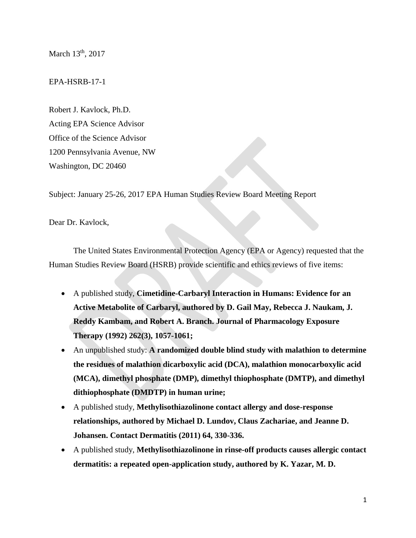March 13<sup>th</sup>, 2017

EPA-HSRB-17-1

Robert J. Kavlock, Ph.D. Acting EPA Science Advisor Office of the Science Advisor 1200 Pennsylvania Avenue, NW Washington, DC 20460

Subject: January 25-26, 2017 EPA Human Studies Review Board Meeting Report

Dear Dr. Kavlock,

The United States Environmental Protection Agency (EPA or Agency) requested that the Human Studies Review Board (HSRB) provide scientific and ethics reviews of five items:

- A published study, **Cimetidine-Carbaryl Interaction in Humans: Evidence for an Active Metabolite of Carbaryl, authored by D. Gail May, Rebecca J. Naukam, J. Reddy Kambam, and Robert A. Branch. Journal of Pharmacology Exposure Therapy (1992) 262(3), 1057-1061;**
- An unpublished study: **A randomized double blind study with malathion to determine the residues of malathion dicarboxylic acid (DCA), malathion monocarboxylic acid (MCA), dimethyl phosphate (DMP), dimethyl thiophosphate (DMTP), and dimethyl dithiophosphate (DMDTP) in human urine;**
- A published study, **Methylisothiazolinone contact allergy and dose-response relationships, authored by Michael D. Lundov, Claus Zachariae, and Jeanne D. Johansen. Contact Dermatitis (2011) 64, 330-336.**
- A published study, **Methylisothiazolinone in rinse-off products causes allergic contact dermatitis: a repeated open-application study, authored by K. Yazar, M. D.**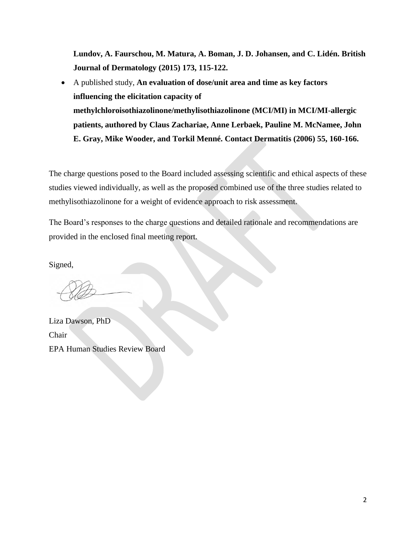**Lundov, A. Faurschou, M. Matura, A. Boman, J. D. Johansen, and C. Lidén. British Journal of Dermatology (2015) 173, 115-122.**

 A published study, **An evaluation of dose/unit area and time as key factors influencing the elicitation capacity of methylchloroisothiazolinone/methylisothiazolinone (MCI/MI) in MCI/MI-allergic patients, authored by Claus Zachariae, Anne Lerbaek, Pauline M. McNamee, John E. Gray, Mike Wooder, and Torkil Menné. Contact Dermatitis (2006) 55, 160-166.**

The charge questions posed to the Board included assessing scientific and ethical aspects of these studies viewed individually, as well as the proposed combined use of the three studies related to methylisothiazolinone for a weight of evidence approach to risk assessment.

The Board's responses to the charge questions and detailed rationale and recommendations are provided in the enclosed final meeting report.

Signed,

Liza Dawson, PhD Chair EPA Human Studies Review Board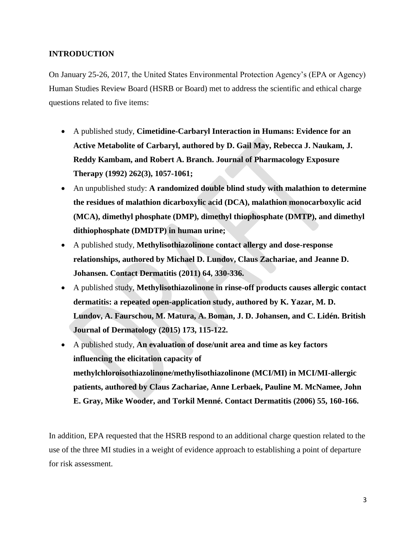# **INTRODUCTION**

On January 25-26, 2017, the United States Environmental Protection Agency's (EPA or Agency) Human Studies Review Board (HSRB or Board) met to address the scientific and ethical charge questions related to five items:

- A published study, **Cimetidine-Carbaryl Interaction in Humans: Evidence for an Active Metabolite of Carbaryl, authored by D. Gail May, Rebecca J. Naukam, J. Reddy Kambam, and Robert A. Branch. Journal of Pharmacology Exposure Therapy (1992) 262(3), 1057-1061;**
- An unpublished study: **A randomized double blind study with malathion to determine the residues of malathion dicarboxylic acid (DCA), malathion monocarboxylic acid (MCA), dimethyl phosphate (DMP), dimethyl thiophosphate (DMTP), and dimethyl dithiophosphate (DMDTP) in human urine;**
- A published study, **Methylisothiazolinone contact allergy and dose-response relationships, authored by Michael D. Lundov, Claus Zachariae, and Jeanne D. Johansen. Contact Dermatitis (2011) 64, 330-336.**
- A published study, **Methylisothiazolinone in rinse-off products causes allergic contact dermatitis: a repeated open-application study, authored by K. Yazar, M. D. Lundov, A. Faurschou, M. Matura, A. Boman, J. D. Johansen, and C. Lidén. British Journal of Dermatology (2015) 173, 115-122.**
- A published study, **An evaluation of dose/unit area and time as key factors influencing the elicitation capacity of methylchloroisothiazolinone/methylisothiazolinone (MCI/MI) in MCI/MI-allergic patients, authored by Claus Zachariae, Anne Lerbaek, Pauline M. McNamee, John E. Gray, Mike Wooder, and Torkil Menné. Contact Dermatitis (2006) 55, 160-166.**

In addition, EPA requested that the HSRB respond to an additional charge question related to the use of the three MI studies in a weight of evidence approach to establishing a point of departure for risk assessment.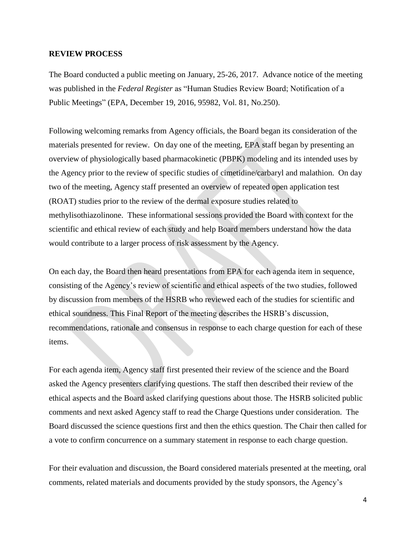#### **REVIEW PROCESS**

The Board conducted a public meeting on January, 25-26, 2017. Advance notice of the meeting was published in the *Federal Register* as "Human Studies Review Board; Notification of a Public Meetings" (EPA, December 19, 2016, 95982, Vol. 81, No.250).

Following welcoming remarks from Agency officials, the Board began its consideration of the materials presented for review. On day one of the meeting, EPA staff began by presenting an overview of physiologically based pharmacokinetic (PBPK) modeling and its intended uses by the Agency prior to the review of specific studies of cimetidine/carbaryl and malathion. On day two of the meeting, Agency staff presented an overview of repeated open application test (ROAT) studies prior to the review of the dermal exposure studies related to methylisothiazolinone. These informational sessions provided the Board with context for the scientific and ethical review of each study and help Board members understand how the data would contribute to a larger process of risk assessment by the Agency.

On each day, the Board then heard presentations from EPA for each agenda item in sequence, consisting of the Agency's review of scientific and ethical aspects of the two studies, followed by discussion from members of the HSRB who reviewed each of the studies for scientific and ethical soundness. This Final Report of the meeting describes the HSRB's discussion, recommendations, rationale and consensus in response to each charge question for each of these items.

For each agenda item, Agency staff first presented their review of the science and the Board asked the Agency presenters clarifying questions. The staff then described their review of the ethical aspects and the Board asked clarifying questions about those. The HSRB solicited public comments and next asked Agency staff to read the Charge Questions under consideration. The Board discussed the science questions first and then the ethics question. The Chair then called for a vote to confirm concurrence on a summary statement in response to each charge question.

For their evaluation and discussion, the Board considered materials presented at the meeting, oral comments, related materials and documents provided by the study sponsors, the Agency's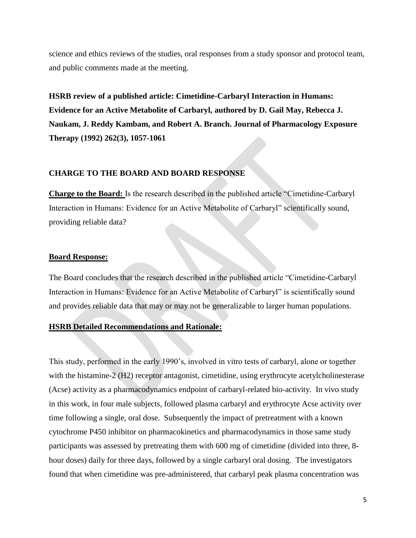science and ethics reviews of the studies, oral responses from a study sponsor and protocol team, and public comments made at the meeting.

**HSRB review of a published article: Cimetidine-Carbaryl Interaction in Humans: Evidence for an Active Metabolite of Carbaryl, authored by D. Gail May, Rebecca J. Naukam, J. Reddy Kambam, and Robert A. Branch. Journal of Pharmacology Exposure Therapy (1992) 262(3), 1057-1061**

# **CHARGE TO THE BOARD AND BOARD RESPONSE**

**Charge to the Board:** Is the research described in the published article "Cimetidine-Carbaryl Interaction in Humans: Evidence for an Active Metabolite of Carbaryl" scientifically sound, providing reliable data?

### **Board Response:**

The Board concludes that the research described in the published article "Cimetidine-Carbaryl Interaction in Humans: Evidence for an Active Metabolite of Carbaryl" is scientifically sound and provides reliable data that may or may not be generalizable to larger human populations.

# **HSRB Detailed Recommendations and Rationale:**

This study, performed in the early 1990's, involved in vitro tests of carbaryl, alone or together with the histamine-2 (H2) receptor antagonist, cimetidine, using erythrocyte acetylcholinesterase (Acse) activity as a pharmacodynamics endpoint of carbaryl-related bio-activity. In vivo study in this work, in four male subjects, followed plasma carbaryl and erythrocyte Acse activity over time following a single, oral dose. Subsequently the impact of pretreatment with a known cytochrome P450 inhibitor on pharmacokinetics and pharmacodynamics in those same study participants was assessed by pretreating them with 600 mg of cimetidine (divided into three, 8 hour doses) daily for three days, followed by a single carbaryl oral dosing. The investigators found that when cimetidine was pre-administered, that carbaryl peak plasma concentration was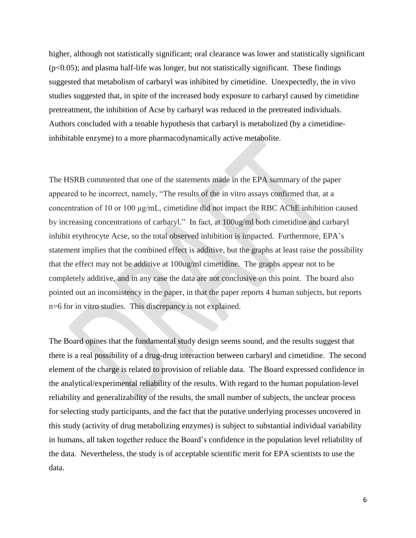higher, although not statistically significant; oral clearance was lower and statistically significant  $(p<0.05)$ ; and plasma half-life was longer, but not statistically significant. These findings suggested that metabolism of carbaryl was inhibited by cimetidine. Unexpectedly, the in vivo studies suggested that, in spite of the increased body exposure to carbaryl caused by cimetidine pretreatment, the inhibition of Acse by carbaryl was reduced in the pretreated individuals. Authors concluded with a tenable hypothesis that carbaryl is metabolized (by a cimetidineinhibitable enzyme) to a more pharmacodynamically active metabolite.

The HSRB commented that one of the statements made in the EPA summary of the paper appeared to be incorrect, namely, "The results of the in vitro assays confirmed that, at a concentration of 10 or 100 μg/mL, cimetidine did not impact the RBC AChE inhibition caused by increasing concentrations of carbaryl." In fact, at 100ug/ml both cimetidine and carbaryl inhibit erythrocyte Acse, so the total observed inhibition is impacted. Furthermore, EPA's statement implies that the combined effect is additive, but the graphs at least raise the possibility that the effect may not be additive at 100ug/ml cimetidine. The graphs appear not to be completely additive, and in any case the data are not conclusive on this point. The board also pointed out an inconsistency in the paper, in that the paper reports 4 human subjects, but reports n=6 for in vitro studies. This discrepancy is not explained.

The Board opines that the fundamental study design seems sound, and the results suggest that there is a real possibility of a drug-drug interaction between carbaryl and cimetidine. The second element of the charge is related to provision of reliable data. The Board expressed confidence in the analytical/experimental reliability of the results. With regard to the human population-level reliability and generalizability of the results, the small number of subjects, the unclear process for selecting study participants, and the fact that the putative underlying processes uncovered in this study (activity of drug metabolizing enzymes) is subject to substantial individual variability in humans, all taken together reduce the Board's confidence in the population level reliability of the data. Nevertheless, the study is of acceptable scientific merit for EPA scientists to use the data.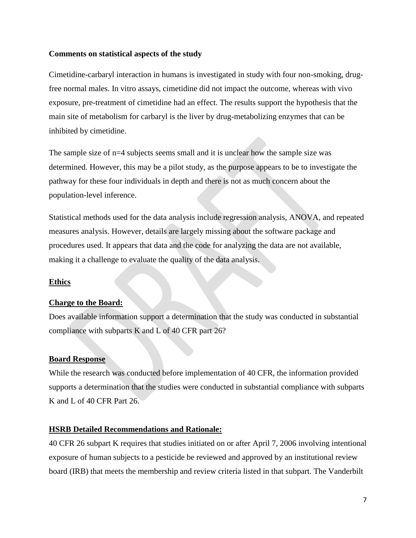# **Comments on statistical aspects of the study**

Cimetidine-carbaryl interaction in humans is investigated in study with four non-smoking, drugfree normal males. In vitro assays, cimetidine did not impact the outcome, whereas with vivo exposure, pre-treatment of cimetidine had an effect. The results support the hypothesis that the main site of metabolism for carbaryl is the liver by drug-metabolizing enzymes that can be inhibited by cimetidine.

The sample size of  $n=4$  subjects seems small and it is unclear how the sample size was determined. However, this may be a pilot study, as the purpose appears to be to investigate the pathway for these four individuals in depth and there is not as much concern about the population-level inference.

Statistical methods used for the data analysis include regression analysis, ANOVA, and repeated measures analysis. However, details are largely missing about the software package and procedures used. It appears that data and the code for analyzing the data are not available, making it a challenge to evaluate the quality of the data analysis.

# **Ethics**

# **Charge to the Board:**

Does available information support a determination that the study was conducted in substantial compliance with subparts K and L of 40 CFR part 26?

# **Board Response**

While the research was conducted before implementation of 40 CFR, the information provided supports a determination that the studies were conducted in substantial compliance with subparts K and L of 40 CFR Part 26.

# **HSRB Detailed Recommendations and Rationale:**

40 CFR 26 subpart K requires that studies initiated on or after April 7, 2006 involving intentional exposure of human subjects to a pesticide be reviewed and approved by an institutional review board (IRB) that meets the membership and review criteria listed in that subpart. The Vanderbilt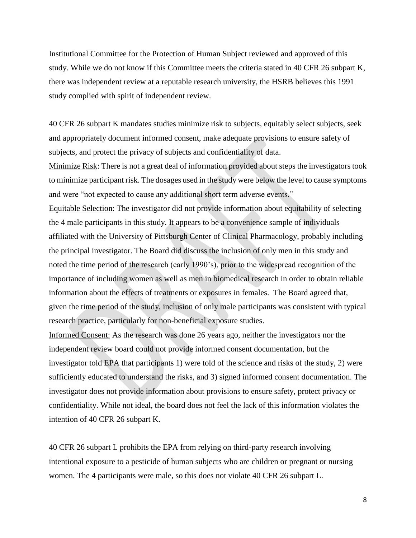Institutional Committee for the Protection of Human Subject reviewed and approved of this study. While we do not know if this Committee meets the criteria stated in 40 CFR 26 subpart K, there was independent review at a reputable research university, the HSRB believes this 1991 study complied with spirit of independent review.

40 CFR 26 subpart K mandates studies minimize risk to subjects, equitably select subjects, seek and appropriately document informed consent, make adequate provisions to ensure safety of subjects, and protect the privacy of subjects and confidentiality of data.

Minimize Risk: There is not a great deal of information provided about steps the investigators took to minimize participant risk. The dosages used in the study were below the level to cause symptoms and were "not expected to cause any additional short term adverse events."

Equitable Selection: The investigator did not provide information about equitability of selecting the 4 male participants in this study. It appears to be a convenience sample of individuals affiliated with the University of Pittsburgh Center of Clinical Pharmacology, probably including the principal investigator. The Board did discuss the inclusion of only men in this study and noted the time period of the research (early 1990's), prior to the widespread recognition of the importance of including women as well as men in biomedical research in order to obtain reliable information about the effects of treatments or exposures in females. The Board agreed that, given the time period of the study, inclusion of only male participants was consistent with typical research practice, particularly for non-beneficial exposure studies.

Informed Consent: As the research was done 26 years ago, neither the investigators nor the independent review board could not provide informed consent documentation, but the investigator told EPA that participants 1) were told of the science and risks of the study, 2) were sufficiently educated to understand the risks, and 3) signed informed consent documentation. The investigator does not provide information about provisions to ensure safety, protect privacy or confidentiality. While not ideal, the board does not feel the lack of this information violates the intention of 40 CFR 26 subpart K.

40 CFR 26 subpart L prohibits the EPA from relying on third-party research involving intentional exposure to a pesticide of human subjects who are children or pregnant or nursing women. The 4 participants were male, so this does not violate 40 CFR 26 subpart L.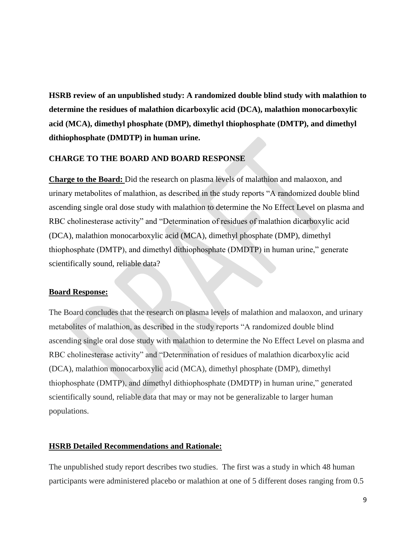**HSRB review of an unpublished study: A randomized double blind study with malathion to determine the residues of malathion dicarboxylic acid (DCA), malathion monocarboxylic acid (MCA), dimethyl phosphate (DMP), dimethyl thiophosphate (DMTP), and dimethyl dithiophosphate (DMDTP) in human urine.**

### **CHARGE TO THE BOARD AND BOARD RESPONSE**

**Charge to the Board:** Did the research on plasma levels of malathion and malaoxon, and urinary metabolites of malathion, as described in the study reports "A randomized double blind ascending single oral dose study with malathion to determine the No Effect Level on plasma and RBC cholinesterase activity" and "Determination of residues of malathion dicarboxylic acid (DCA), malathion monocarboxylic acid (MCA), dimethyl phosphate (DMP), dimethyl thiophosphate (DMTP), and dimethyl dithiophosphate (DMDTP) in human urine," generate scientifically sound, reliable data?

#### **Board Response:**

The Board concludes that the research on plasma levels of malathion and malaoxon, and urinary metabolites of malathion, as described in the study reports "A randomized double blind ascending single oral dose study with malathion to determine the No Effect Level on plasma and RBC cholinesterase activity" and "Determination of residues of malathion dicarboxylic acid (DCA), malathion monocarboxylic acid (MCA), dimethyl phosphate (DMP), dimethyl thiophosphate (DMTP), and dimethyl dithiophosphate (DMDTP) in human urine," generated scientifically sound, reliable data that may or may not be generalizable to larger human populations.

### **HSRB Detailed Recommendations and Rationale:**

The unpublished study report describes two studies. The first was a study in which 48 human participants were administered placebo or malathion at one of 5 different doses ranging from 0.5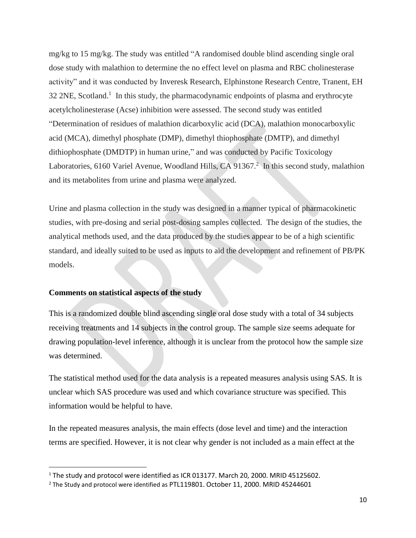mg/kg to 15 mg/kg. The study was entitled "A randomised double blind ascending single oral dose study with malathion to determine the no effect level on plasma and RBC cholinesterase activity" and it was conducted by Inveresk Research, Elphinstone Research Centre, Tranent, EH  $32$  2NE, Scotland.<sup>1</sup> In this study, the pharmacodynamic endpoints of plasma and erythrocyte acetylcholinesterase (Acse) inhibition were assessed. The second study was entitled "Determination of residues of malathion dicarboxylic acid (DCA), malathion monocarboxylic acid (MCA), dimethyl phosphate (DMP), dimethyl thiophosphate (DMTP), and dimethyl dithiophosphate (DMDTP) in human urine," and was conducted by Pacific Toxicology Laboratories, 6160 Variel Avenue, Woodland Hills, CA 91367.<sup>2</sup> In this second study, malathion and its metabolites from urine and plasma were analyzed.

Urine and plasma collection in the study was designed in a manner typical of pharmacokinetic studies, with pre-dosing and serial post-dosing samples collected. The design of the studies, the analytical methods used, and the data produced by the studies appear to be of a high scientific standard, and ideally suited to be used as inputs to aid the development and refinement of PB/PK models.

#### **Comments on statistical aspects of the study**

 $\overline{\phantom{a}}$ 

This is a randomized double blind ascending single oral dose study with a total of 34 subjects receiving treatments and 14 subjects in the control group. The sample size seems adequate for drawing population-level inference, although it is unclear from the protocol how the sample size was determined.

The statistical method used for the data analysis is a repeated measures analysis using SAS. It is unclear which SAS procedure was used and which covariance structure was specified. This information would be helpful to have.

In the repeated measures analysis, the main effects (dose level and time) and the interaction terms are specified. However, it is not clear why gender is not included as a main effect at the

<sup>&</sup>lt;sup>1</sup> The study and protocol were identified as ICR 013177. March 20, 2000. MRID 45125602.

<sup>&</sup>lt;sup>2</sup> The Study and protocol were identified as PTL119801. October 11, 2000. MRID 45244601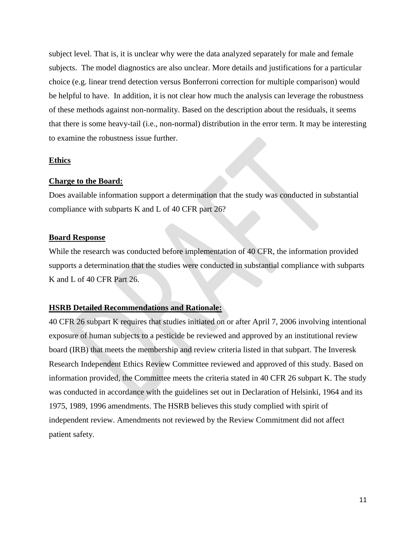subject level. That is, it is unclear why were the data analyzed separately for male and female subjects. The model diagnostics are also unclear. More details and justifications for a particular choice (e.g. linear trend detection versus Bonferroni correction for multiple comparison) would be helpful to have. In addition, it is not clear how much the analysis can leverage the robustness of these methods against non-normality. Based on the description about the residuals, it seems that there is some heavy-tail (i.e., non-normal) distribution in the error term. It may be interesting to examine the robustness issue further.

### **Ethics**

### **Charge to the Board:**

Does available information support a determination that the study was conducted in substantial compliance with subparts K and L of 40 CFR part 26?

# **Board Response**

While the research was conducted before implementation of 40 CFR, the information provided supports a determination that the studies were conducted in substantial compliance with subparts K and L of 40 CFR Part 26.

# **HSRB Detailed Recommendations and Rationale:**

40 CFR 26 subpart K requires that studies initiated on or after April 7, 2006 involving intentional exposure of human subjects to a pesticide be reviewed and approved by an institutional review board (IRB) that meets the membership and review criteria listed in that subpart. The Inveresk Research Independent Ethics Review Committee reviewed and approved of this study. Based on information provided, the Committee meets the criteria stated in 40 CFR 26 subpart K. The study was conducted in accordance with the guidelines set out in Declaration of Helsinki, 1964 and its 1975, 1989, 1996 amendments. The HSRB believes this study complied with spirit of independent review. Amendments not reviewed by the Review Commitment did not affect patient safety.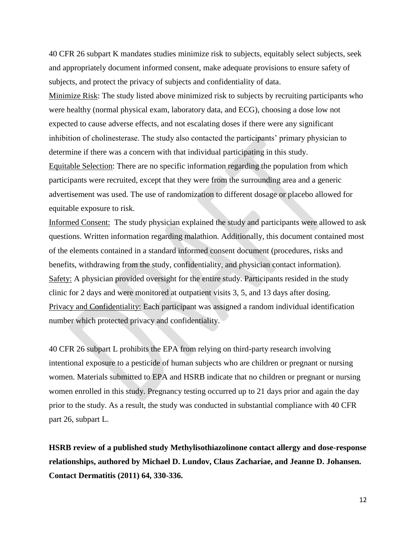40 CFR 26 subpart K mandates studies minimize risk to subjects, equitably select subjects, seek and appropriately document informed consent, make adequate provisions to ensure safety of subjects, and protect the privacy of subjects and confidentiality of data.

Minimize Risk: The study listed above minimized risk to subjects by recruiting participants who were healthy (normal physical exam, laboratory data, and ECG), choosing a dose low not expected to cause adverse effects, and not escalating doses if there were any significant inhibition of cholinesterase. The study also contacted the participants' primary physician to determine if there was a concern with that individual participating in this study. Equitable Selection: There are no specific information regarding the population from which participants were recruited, except that they were from the surrounding area and a generic advertisement was used. The use of randomization to different dosage or placebo allowed for equitable exposure to risk.

Informed Consent: The study physician explained the study and participants were allowed to ask questions. Written information regarding malathion. Additionally, this document contained most of the elements contained in a standard informed consent document (procedures, risks and benefits, withdrawing from the study, confidentiality, and physician contact information). Safety: A physician provided oversight for the entire study. Participants resided in the study clinic for 2 days and were monitored at outpatient visits 3, 5, and 13 days after dosing. Privacy and Confidentiality: Each participant was assigned a random individual identification number which protected privacy and confidentiality.

40 CFR 26 subpart L prohibits the EPA from relying on third-party research involving intentional exposure to a pesticide of human subjects who are children or pregnant or nursing women. Materials submitted to EPA and HSRB indicate that no children or pregnant or nursing women enrolled in this study. Pregnancy testing occurred up to 21 days prior and again the day prior to the study. As a result, the study was conducted in substantial compliance with 40 CFR part 26, subpart L.

**HSRB review of a published study Methylisothiazolinone contact allergy and dose-response relationships, authored by Michael D. Lundov, Claus Zachariae, and Jeanne D. Johansen. Contact Dermatitis (2011) 64, 330-336.**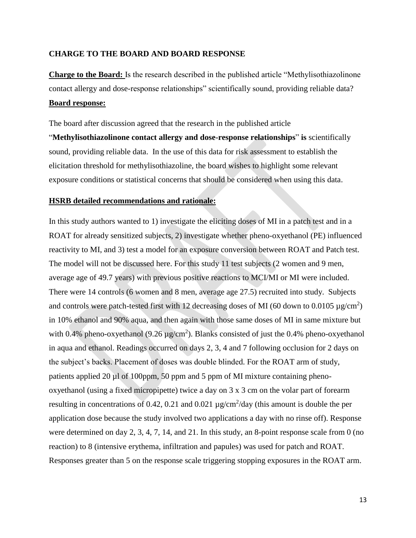### **CHARGE TO THE BOARD AND BOARD RESPONSE**

**Charge to the Board:** Is the research described in the published article "Methylisothiazolinone contact allergy and dose-response relationships" scientifically sound, providing reliable data? **Board response:**

The board after discussion agreed that the research in the published article

"**Methylisothiazolinone contact allergy and dose-response relationships**" **is** scientifically sound, providing reliable data. In the use of this data for risk assessment to establish the elicitation threshold for methylisothiazoline, the board wishes to highlight some relevant exposure conditions or statistical concerns that should be considered when using this data.

### **HSRB detailed recommendations and rationale:**

In this study authors wanted to 1) investigate the eliciting doses of MI in a patch test and in a ROAT for already sensitized subjects, 2) investigate whether pheno-oxyethanol (PE) influenced reactivity to MI, and 3) test a model for an exposure conversion between ROAT and Patch test. The model will not be discussed here. For this study 11 test subjects (2 women and 9 men, average age of 49.7 years) with previous positive reactions to MCI/MI or MI were included. There were 14 controls (6 women and 8 men, average age 27.5) recruited into study. Subjects and controls were patch-tested first with 12 decreasing doses of MI (60 down to 0.0105  $\mu$ g/cm<sup>2</sup>) in 10% ethanol and 90% aqua, and then again with those same doses of MI in same mixture but with 0.4% pheno-oxyethanol (9.26  $\mu$ g/cm<sup>2</sup>). Blanks consisted of just the 0.4% pheno-oxyethanol in aqua and ethanol. Readings occurred on days 2, 3, 4 and 7 following occlusion for 2 days on the subject's backs. Placement of doses was double blinded. For the ROAT arm of study, patients applied 20  $\mu$ l of 100ppm, 50 ppm and 5 ppm of MI mixture containing phenooxyethanol (using a fixed micropipette) twice a day on 3 x 3 cm on the volar part of forearm resulting in concentrations of 0.42, 0.21 and 0.021  $\mu$ g/cm<sup>2</sup>/day (this amount is double the per application dose because the study involved two applications a day with no rinse off). Response were determined on day 2, 3, 4, 7, 14, and 21. In this study, an 8-point response scale from 0 (no reaction) to 8 (intensive erythema, infiltration and papules) was used for patch and ROAT. Responses greater than 5 on the response scale triggering stopping exposures in the ROAT arm.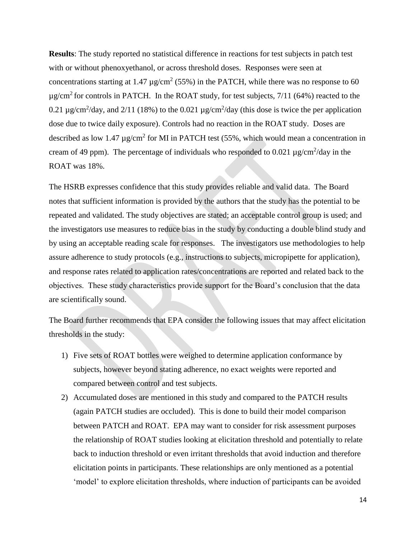**Results**: The study reported no statistical difference in reactions for test subjects in patch test with or without phenoxyethanol, or across threshold doses. Responses were seen at concentrations starting at 1.47  $\mu$ g/cm<sup>2</sup> (55%) in the PATCH, while there was no response to 60  $\mu$ g/cm<sup>2</sup> for controls in PATCH. In the ROAT study, for test subjects, 7/11 (64%) reacted to the 0.21  $\mu$ g/cm<sup>2</sup>/day, and 2/11 (18%) to the 0.021  $\mu$ g/cm<sup>2</sup>/day (this dose is twice the per application dose due to twice daily exposure). Controls had no reaction in the ROAT study. Doses are described as low 1.47  $\mu$ g/cm<sup>2</sup> for MI in PATCH test (55%, which would mean a concentration in cream of 49 ppm). The percentage of individuals who responded to 0.021  $\mu$ g/cm<sup>2</sup>/day in the ROAT was 18%.

The HSRB expresses confidence that this study provides reliable and valid data. The Board notes that sufficient information is provided by the authors that the study has the potential to be repeated and validated. The study objectives are stated; an acceptable control group is used; and the investigators use measures to reduce bias in the study by conducting a double blind study and by using an acceptable reading scale for responses. The investigators use methodologies to help assure adherence to study protocols (e.g., instructions to subjects, micropipette for application), and response rates related to application rates/concentrations are reported and related back to the objectives. These study characteristics provide support for the Board's conclusion that the data are scientifically sound.

The Board further recommends that EPA consider the following issues that may affect elicitation thresholds in the study:

- 1) Five sets of ROAT bottles were weighed to determine application conformance by subjects, however beyond stating adherence, no exact weights were reported and compared between control and test subjects.
- 2) Accumulated doses are mentioned in this study and compared to the PATCH results (again PATCH studies are occluded). This is done to build their model comparison between PATCH and ROAT. EPA may want to consider for risk assessment purposes the relationship of ROAT studies looking at elicitation threshold and potentially to relate back to induction threshold or even irritant thresholds that avoid induction and therefore elicitation points in participants. These relationships are only mentioned as a potential 'model' to explore elicitation thresholds, where induction of participants can be avoided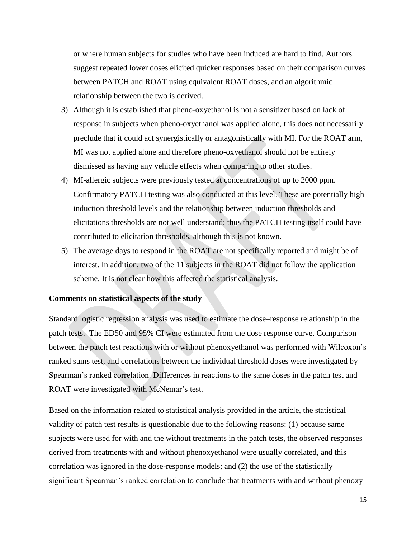or where human subjects for studies who have been induced are hard to find. Authors suggest repeated lower doses elicited quicker responses based on their comparison curves between PATCH and ROAT using equivalent ROAT doses, and an algorithmic relationship between the two is derived.

- 3) Although it is established that pheno-oxyethanol is not a sensitizer based on lack of response in subjects when pheno-oxyethanol was applied alone, this does not necessarily preclude that it could act synergistically or antagonistically with MI. For the ROAT arm, MI was not applied alone and therefore pheno-oxyethanol should not be entirely dismissed as having any vehicle effects when comparing to other studies.
- 4) MI-allergic subjects were previously tested at concentrations of up to 2000 ppm. Confirmatory PATCH testing was also conducted at this level. These are potentially high induction threshold levels and the relationship between induction thresholds and elicitations thresholds are not well understand; thus the PATCH testing itself could have contributed to elicitation thresholds, although this is not known.
- 5) The average days to respond in the ROAT are not specifically reported and might be of interest. In addition, two of the 11 subjects in the ROAT did not follow the application scheme. It is not clear how this affected the statistical analysis.

# **Comments on statistical aspects of the study**

Standard logistic regression analysis was used to estimate the dose–response relationship in the patch tests. The ED50 and 95% CI were estimated from the dose response curve. Comparison between the patch test reactions with or without phenoxyethanol was performed with Wilcoxon's ranked sums test, and correlations between the individual threshold doses were investigated by Spearman's ranked correlation. Differences in reactions to the same doses in the patch test and ROAT were investigated with McNemar's test.

Based on the information related to statistical analysis provided in the article, the statistical validity of patch test results is questionable due to the following reasons: (1) because same subjects were used for with and the without treatments in the patch tests, the observed responses derived from treatments with and without phenoxyethanol were usually correlated, and this correlation was ignored in the dose-response models; and (2) the use of the statistically significant Spearman's ranked correlation to conclude that treatments with and without phenoxy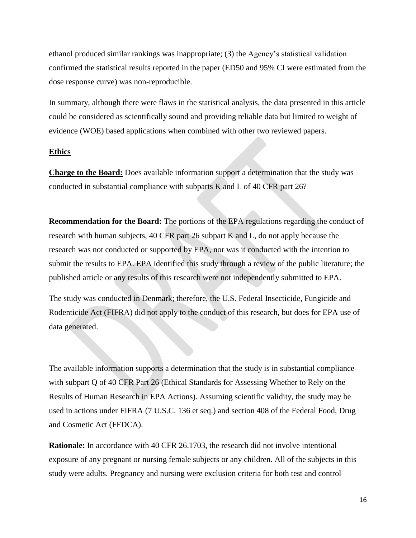ethanol produced similar rankings was inappropriate; (3) the Agency's statistical validation confirmed the statistical results reported in the paper (ED50 and 95% CI were estimated from the dose response curve) was non-reproducible.

In summary, although there were flaws in the statistical analysis, the data presented in this article could be considered as scientifically sound and providing reliable data but limited to weight of evidence (WOE) based applications when combined with other two reviewed papers.

### **Ethics**

**Charge to the Board:** Does available information support a determination that the study was conducted in substantial compliance with subparts K and L of 40 CFR part 26?

**Recommendation for the Board:** The portions of the EPA regulations regarding the conduct of research with human subjects, 40 CFR part 26 subpart K and L, do not apply because the research was not conducted or supported by EPA, nor was it conducted with the intention to submit the results to EPA. EPA identified this study through a review of the public literature; the published article or any results of this research were not independently submitted to EPA.

The study was conducted in Denmark; therefore, the U.S. Federal Insecticide, Fungicide and Rodenticide Act (FIFRA) did not apply to the conduct of this research, but does for EPA use of data generated.

The available information supports a determination that the study is in substantial compliance with subpart Q of 40 CFR Part 26 (Ethical Standards for Assessing Whether to Rely on the Results of Human Research in EPA Actions). Assuming scientific validity, the study may be used in actions under FIFRA (7 U.S.C. 136 et seq.) and section 408 of the Federal Food, Drug and Cosmetic Act (FFDCA).

**Rationale:** In accordance with 40 CFR 26.1703, the research did not involve intentional exposure of any pregnant or nursing female subjects or any children. All of the subjects in this study were adults. Pregnancy and nursing were exclusion criteria for both test and control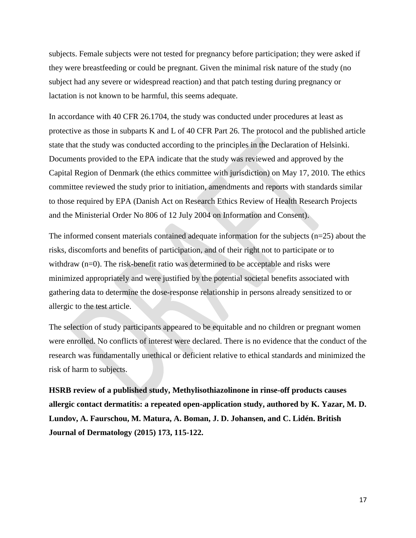subjects. Female subjects were not tested for pregnancy before participation; they were asked if they were breastfeeding or could be pregnant. Given the minimal risk nature of the study (no subject had any severe or widespread reaction) and that patch testing during pregnancy or lactation is not known to be harmful, this seems adequate.

In accordance with 40 CFR 26.1704, the study was conducted under procedures at least as protective as those in subparts K and L of 40 CFR Part 26. The protocol and the published article state that the study was conducted according to the principles in the Declaration of Helsinki. Documents provided to the EPA indicate that the study was reviewed and approved by the Capital Region of Denmark (the ethics committee with jurisdiction) on May 17, 2010. The ethics committee reviewed the study prior to initiation, amendments and reports with standards similar to those required by EPA (Danish Act on Research Ethics Review of Health Research Projects and the Ministerial Order No 806 of 12 July 2004 on Information and Consent).

The informed consent materials contained adequate information for the subjects  $(n=25)$  about the risks, discomforts and benefits of participation, and of their right not to participate or to withdraw (n=0). The risk-benefit ratio was determined to be acceptable and risks were minimized appropriately and were justified by the potential societal benefits associated with gathering data to determine the dose-response relationship in persons already sensitized to or allergic to the test article.

The selection of study participants appeared to be equitable and no children or pregnant women were enrolled. No conflicts of interest were declared. There is no evidence that the conduct of the research was fundamentally unethical or deficient relative to ethical standards and minimized the risk of harm to subjects.

**HSRB review of a published study, Methylisothiazolinone in rinse-off products causes allergic contact dermatitis: a repeated open-application study, authored by K. Yazar, M. D. Lundov, A. Faurschou, M. Matura, A. Boman, J. D. Johansen, and C. Lidén. British Journal of Dermatology (2015) 173, 115-122.**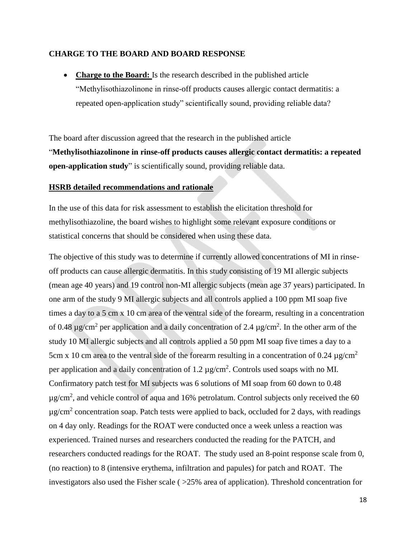#### **CHARGE TO THE BOARD AND BOARD RESPONSE**

 **Charge to the Board:** Is the research described in the published article "Methylisothiazolinone in rinse-off products causes allergic contact dermatitis: a repeated open-application study" scientifically sound, providing reliable data?

The board after discussion agreed that the research in the published article "**Methylisothiazolinone in rinse-off products causes allergic contact dermatitis: a repeated open-application study**" is scientifically sound, providing reliable data.

### **HSRB detailed recommendations and rationale**

In the use of this data for risk assessment to establish the elicitation threshold for methylisothiazoline, the board wishes to highlight some relevant exposure conditions or statistical concerns that should be considered when using these data.

The objective of this study was to determine if currently allowed concentrations of MI in rinseoff products can cause allergic dermatitis. In this study consisting of 19 MI allergic subjects (mean age 40 years) and 19 control non-MI allergic subjects (mean age 37 years) participated. In one arm of the study 9 MI allergic subjects and all controls applied a 100 ppm MI soap five times a day to a 5 cm x 10 cm area of the ventral side of the forearm, resulting in a concentration of 0.48  $\mu$ g/cm<sup>2</sup> per application and a daily concentration of 2.4  $\mu$ g/cm<sup>2</sup>. In the other arm of the study 10 MI allergic subjects and all controls applied a 50 ppm MI soap five times a day to a 5cm x 10 cm area to the ventral side of the forearm resulting in a concentration of 0.24  $\mu$ g/cm<sup>2</sup> per application and a daily concentration of  $1.2 \mu$ g/cm<sup>2</sup>. Controls used soaps with no MI. Confirmatory patch test for MI subjects was 6 solutions of MI soap from 60 down to 0.48  $\mu$ g/cm<sup>2</sup>, and vehicle control of aqua and 16% petrolatum. Control subjects only received the 60  $\mu$ g/cm<sup>2</sup> concentration soap. Patch tests were applied to back, occluded for 2 days, with readings on 4 day only. Readings for the ROAT were conducted once a week unless a reaction was experienced. Trained nurses and researchers conducted the reading for the PATCH, and researchers conducted readings for the ROAT. The study used an 8-point response scale from 0, (no reaction) to 8 (intensive erythema, infiltration and papules) for patch and ROAT. The investigators also used the Fisher scale ( >25% area of application). Threshold concentration for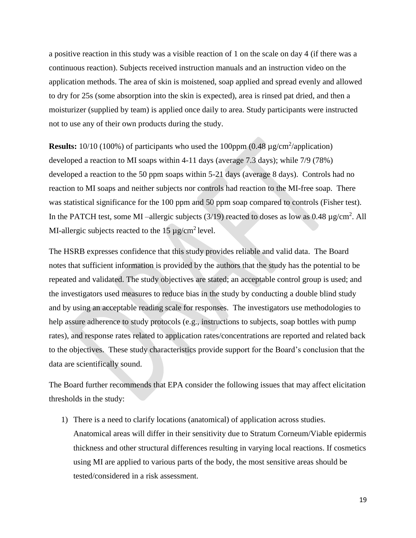a positive reaction in this study was a visible reaction of 1 on the scale on day 4 (if there was a continuous reaction). Subjects received instruction manuals and an instruction video on the application methods. The area of skin is moistened, soap applied and spread evenly and allowed to dry for 25s (some absorption into the skin is expected), area is rinsed pat dried, and then a moisturizer (supplied by team) is applied once daily to area. Study participants were instructed not to use any of their own products during the study.

**Results:**  $10/10$  (100%) of participants who used the 100ppm  $(0.48 \mu g/cm^2/application)$ developed a reaction to MI soaps within 4-11 days (average 7.3 days); while 7/9 (78%) developed a reaction to the 50 ppm soaps within 5-21 days (average 8 days). Controls had no reaction to MI soaps and neither subjects nor controls had reaction to the MI-free soap. There was statistical significance for the 100 ppm and 50 ppm soap compared to controls (Fisher test). In the PATCH test, some MI-allergic subjects  $(3/19)$  reacted to doses as low as 0.48  $\mu$ g/cm<sup>2</sup>. All MI-allergic subjects reacted to the  $15 \mu g/cm^2$  level.

The HSRB expresses confidence that this study provides reliable and valid data. The Board notes that sufficient information is provided by the authors that the study has the potential to be repeated and validated. The study objectives are stated; an acceptable control group is used; and the investigators used measures to reduce bias in the study by conducting a double blind study and by using an acceptable reading scale for responses. The investigators use methodologies to help assure adherence to study protocols (e.g., instructions to subjects, soap bottles with pump rates), and response rates related to application rates/concentrations are reported and related back to the objectives. These study characteristics provide support for the Board's conclusion that the data are scientifically sound.

The Board further recommends that EPA consider the following issues that may affect elicitation thresholds in the study:

1) There is a need to clarify locations (anatomical) of application across studies. Anatomical areas will differ in their sensitivity due to Stratum Corneum/Viable epidermis thickness and other structural differences resulting in varying local reactions. If cosmetics using MI are applied to various parts of the body, the most sensitive areas should be tested/considered in a risk assessment.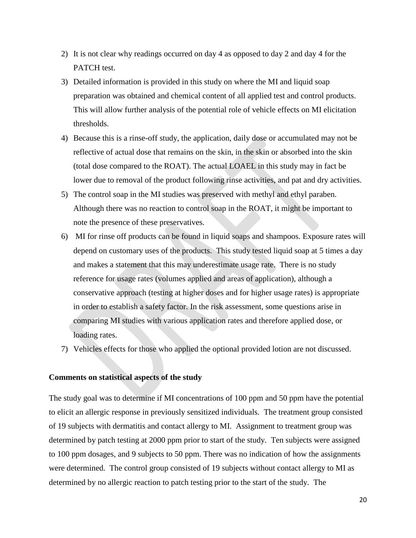- 2) It is not clear why readings occurred on day 4 as opposed to day 2 and day 4 for the PATCH test.
- 3) Detailed information is provided in this study on where the MI and liquid soap preparation was obtained and chemical content of all applied test and control products. This will allow further analysis of the potential role of vehicle effects on MI elicitation thresholds.
- 4) Because this is a rinse-off study, the application, daily dose or accumulated may not be reflective of actual dose that remains on the skin, in the skin or absorbed into the skin (total dose compared to the ROAT). The actual LOAEL in this study may in fact be lower due to removal of the product following rinse activities, and pat and dry activities.
- 5) The control soap in the MI studies was preserved with methyl and ethyl paraben. Although there was no reaction to control soap in the ROAT, it might be important to note the presence of these preservatives.
- 6) MI for rinse off products can be found in liquid soaps and shampoos. Exposure rates will depend on customary uses of the products. This study tested liquid soap at 5 times a day and makes a statement that this may underestimate usage rate. There is no study reference for usage rates (volumes applied and areas of application), although a conservative approach (testing at higher doses and for higher usage rates) is appropriate in order to establish a safety factor. In the risk assessment, some questions arise in comparing MI studies with various application rates and therefore applied dose, or loading rates.
- 7) Vehicles effects for those who applied the optional provided lotion are not discussed.

#### **Comments on statistical aspects of the study**

The study goal was to determine if MI concentrations of 100 ppm and 50 ppm have the potential to elicit an allergic response in previously sensitized individuals. The treatment group consisted of 19 subjects with dermatitis and contact allergy to MI. Assignment to treatment group was determined by patch testing at 2000 ppm prior to start of the study. Ten subjects were assigned to 100 ppm dosages, and 9 subjects to 50 ppm. There was no indication of how the assignments were determined. The control group consisted of 19 subjects without contact allergy to MI as determined by no allergic reaction to patch testing prior to the start of the study. The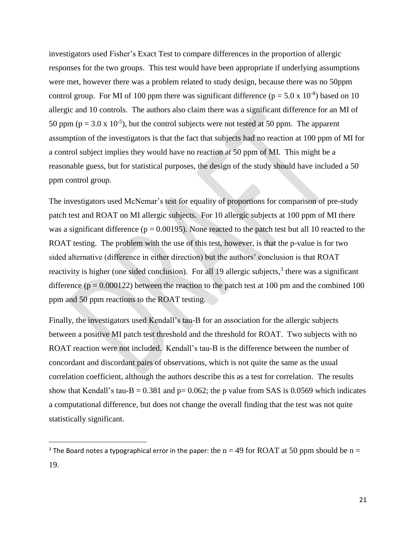investigators used Fisher's Exact Test to compare differences in the proportion of allergic responses for the two groups. This test would have been appropriate if underlying assumptions were met, however there was a problem related to study design, because there was no 50ppm control group. For MI of 100 ppm there was significant difference ( $p = 5.0 \times 10^{-8}$ ) based on 10 allergic and 10 controls. The authors also claim there was a significant difference for an MI of 50 ppm ( $p = 3.0 \times 10^{-5}$ ), but the control subjects were not tested at 50 ppm. The apparent assumption of the investigators is that the fact that subjects had no reaction at 100 ppm of MI for a control subject implies they would have no reaction at 50 ppm of MI. This might be a reasonable guess, but for statistical purposes, the design of the study should have included a 50 ppm control group.

The investigators used McNemar's test for equality of proportions for comparison of pre-study patch test and ROAT on MI allergic subjects. For 10 allergic subjects at 100 ppm of MI there was a significant difference ( $p = 0.00195$ ). None reacted to the patch test but all 10 reacted to the ROAT testing. The problem with the use of this test, however, is that the p-value is for two sided alternative (difference in either direction) but the authors' conclusion is that ROAT reactivity is higher (one sided conclusion). For all 19 allergic subjects,<sup>3</sup> there was a significant difference ( $p = 0.000122$ ) between the reaction to the patch test at 100 pm and the combined 100 ppm and 50 ppm reactions to the ROAT testing.

Finally, the investigators used Kendall's tau-B for an association for the allergic subjects between a positive MI patch test threshold and the threshold for ROAT. Two subjects with no ROAT reaction were not included. Kendall's tau-B is the difference between the number of concordant and discordant pairs of observations, which is not quite the same as the usual correlation coefficient, although the authors describe this as a test for correlation. The results show that Kendall's tau-B =  $0.381$  and p=  $0.062$ ; the p value from SAS is 0.0569 which indicates a computational difference, but does not change the overall finding that the test was not quite statistically significant.

 $\overline{\phantom{a}}$ 

<sup>&</sup>lt;sup>3</sup> The Board notes a typographical error in the paper: the  $n = 49$  for ROAT at 50 ppm should be  $n =$ 19.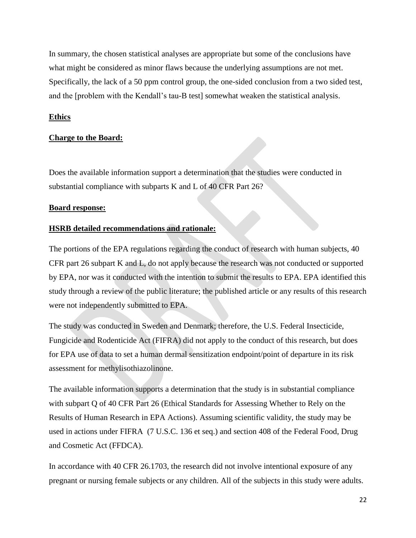In summary, the chosen statistical analyses are appropriate but some of the conclusions have what might be considered as minor flaws because the underlying assumptions are not met. Specifically, the lack of a 50 ppm control group, the one-sided conclusion from a two sided test, and the [problem with the Kendall's tau-B test] somewhat weaken the statistical analysis.

# **Ethics**

# **Charge to the Board:**

Does the available information support a determination that the studies were conducted in substantial compliance with subparts K and L of 40 CFR Part 26?

# **Board response:**

# **HSRB detailed recommendations and rationale:**

The portions of the EPA regulations regarding the conduct of research with human subjects, 40 CFR part 26 subpart K and L, do not apply because the research was not conducted or supported by EPA, nor was it conducted with the intention to submit the results to EPA. EPA identified this study through a review of the public literature; the published article or any results of this research were not independently submitted to EPA.

The study was conducted in Sweden and Denmark; therefore, the U.S. Federal Insecticide, Fungicide and Rodenticide Act (FIFRA) did not apply to the conduct of this research, but does for EPA use of data to set a human dermal sensitization endpoint/point of departure in its risk assessment for methylisothiazolinone.

The available information supports a determination that the study is in substantial compliance with subpart Q of 40 CFR Part 26 (Ethical Standards for Assessing Whether to Rely on the Results of Human Research in EPA Actions). Assuming scientific validity, the study may be used in actions under FIFRA (7 U.S.C. 136 et seq.) and section 408 of the Federal Food, Drug and Cosmetic Act (FFDCA).

In accordance with 40 CFR 26.1703, the research did not involve intentional exposure of any pregnant or nursing female subjects or any children. All of the subjects in this study were adults.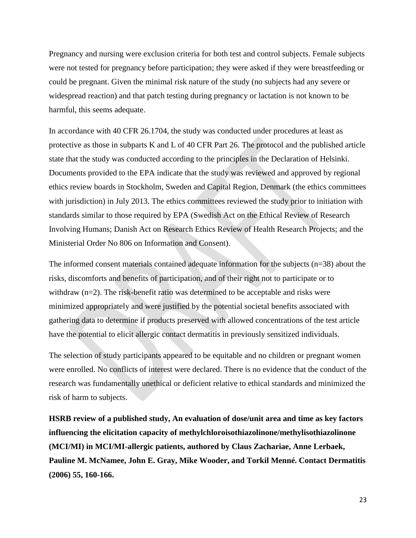Pregnancy and nursing were exclusion criteria for both test and control subjects. Female subjects were not tested for pregnancy before participation; they were asked if they were breastfeeding or could be pregnant. Given the minimal risk nature of the study (no subjects had any severe or widespread reaction) and that patch testing during pregnancy or lactation is not known to be harmful, this seems adequate.

In accordance with 40 CFR 26.1704, the study was conducted under procedures at least as protective as those in subparts K and L of 40 CFR Part 26. The protocol and the published article state that the study was conducted according to the principles in the Declaration of Helsinki. Documents provided to the EPA indicate that the study was reviewed and approved by regional ethics review boards in Stockholm, Sweden and Capital Region, Denmark (the ethics committees with jurisdiction) in July 2013. The ethics committees reviewed the study prior to initiation with standards similar to those required by EPA (Swedish Act on the Ethical Review of Research Involving Humans; Danish Act on Research Ethics Review of Health Research Projects; and the Ministerial Order No 806 on Information and Consent).

The informed consent materials contained adequate information for the subjects (n=38) about the risks, discomforts and benefits of participation, and of their right not to participate or to withdraw (n=2). The risk-benefit ratio was determined to be acceptable and risks were minimized appropriately and were justified by the potential societal benefits associated with gathering data to determine if products preserved with allowed concentrations of the test article have the potential to elicit allergic contact dermatitis in previously sensitized individuals.

The selection of study participants appeared to be equitable and no children or pregnant women were enrolled. No conflicts of interest were declared. There is no evidence that the conduct of the research was fundamentally unethical or deficient relative to ethical standards and minimized the risk of harm to subjects.

**HSRB review of a published study, An evaluation of dose/unit area and time as key factors influencing the elicitation capacity of methylchloroisothiazolinone/methylisothiazolinone (MCI/MI) in MCI/MI-allergic patients, authored by Claus Zachariae, Anne Lerbaek, Pauline M. McNamee, John E. Gray, Mike Wooder, and Torkil Menné. Contact Dermatitis (2006) 55, 160-166.**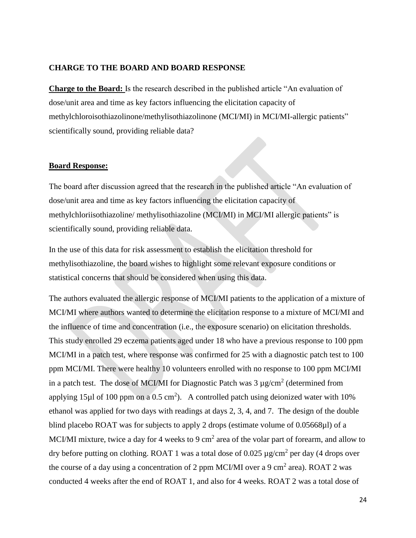### **CHARGE TO THE BOARD AND BOARD RESPONSE**

**Charge to the Board:** Is the research described in the published article "An evaluation of dose/unit area and time as key factors influencing the elicitation capacity of methylchloroisothiazolinone/methylisothiazolinone (MCI/MI) in MCI/MI-allergic patients" scientifically sound, providing reliable data?

#### **Board Response:**

The board after discussion agreed that the research in the published article "An evaluation of dose/unit area and time as key factors influencing the elicitation capacity of methylchloriisothiazoline/ methylisothiazoline (MCI/MI) in MCI/MI allergic patients" is scientifically sound, providing reliable data.

In the use of this data for risk assessment to establish the elicitation threshold for methylisothiazoline, the board wishes to highlight some relevant exposure conditions or statistical concerns that should be considered when using this data.

The authors evaluated the allergic response of MCI/MI patients to the application of a mixture of MCI/MI where authors wanted to determine the elicitation response to a mixture of MCI/MI and the influence of time and concentration (i.e., the exposure scenario) on elicitation thresholds. This study enrolled 29 eczema patients aged under 18 who have a previous response to 100 ppm MCI/MI in a patch test, where response was confirmed for 25 with a diagnostic patch test to 100 ppm MCI/MI. There were healthy 10 volunteers enrolled with no response to 100 ppm MCI/MI in a patch test. The dose of MCI/MI for Diagnostic Patch was  $3 \mu$ g/cm<sup>2</sup> (determined from applying 15 $\mu$ l of 100 ppm on a 0.5 cm<sup>2</sup>). A controlled patch using deionized water with 10% ethanol was applied for two days with readings at days 2, 3, 4, and 7. The design of the double blind placebo ROAT was for subjects to apply 2 drops (estimate volume of 0.05668µl) of a MCI/MI mixture, twice a day for 4 weeks to 9 cm<sup>2</sup> area of the volar part of forearm, and allow to dry before putting on clothing. ROAT 1 was a total dose of 0.025  $\mu$ g/cm<sup>2</sup> per day (4 drops over the course of a day using a concentration of 2 ppm MCI/MI over a 9 cm<sup>2</sup> area). ROAT 2 was conducted 4 weeks after the end of ROAT 1, and also for 4 weeks. ROAT 2 was a total dose of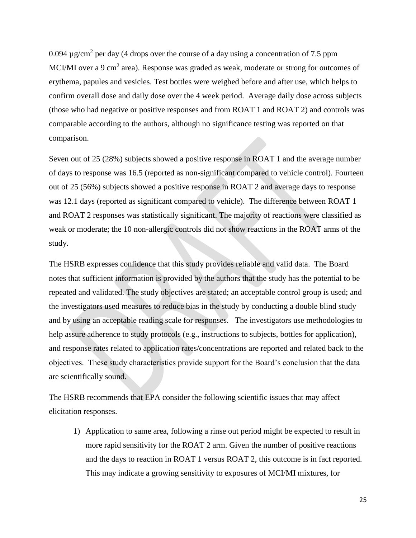0.094  $\mu$ g/cm<sup>2</sup> per day (4 drops over the course of a day using a concentration of 7.5 ppm MCI/MI over a 9 cm<sup>2</sup> area). Response was graded as weak, moderate or strong for outcomes of erythema, papules and vesicles. Test bottles were weighed before and after use, which helps to confirm overall dose and daily dose over the 4 week period. Average daily dose across subjects (those who had negative or positive responses and from ROAT 1 and ROAT 2) and controls was comparable according to the authors, although no significance testing was reported on that comparison.

Seven out of 25 (28%) subjects showed a positive response in ROAT 1 and the average number of days to response was 16.5 (reported as non-significant compared to vehicle control). Fourteen out of 25 (56%) subjects showed a positive response in ROAT 2 and average days to response was 12.1 days (reported as significant compared to vehicle). The difference between ROAT 1 and ROAT 2 responses was statistically significant. The majority of reactions were classified as weak or moderate; the 10 non-allergic controls did not show reactions in the ROAT arms of the study.

The HSRB expresses confidence that this study provides reliable and valid data. The Board notes that sufficient information is provided by the authors that the study has the potential to be repeated and validated. The study objectives are stated; an acceptable control group is used; and the investigators used measures to reduce bias in the study by conducting a double blind study and by using an acceptable reading scale for responses. The investigators use methodologies to help assure adherence to study protocols (e.g., instructions to subjects, bottles for application), and response rates related to application rates/concentrations are reported and related back to the objectives. These study characteristics provide support for the Board's conclusion that the data are scientifically sound.

The HSRB recommends that EPA consider the following scientific issues that may affect elicitation responses.

1) Application to same area, following a rinse out period might be expected to result in more rapid sensitivity for the ROAT 2 arm. Given the number of positive reactions and the days to reaction in ROAT 1 versus ROAT 2, this outcome is in fact reported. This may indicate a growing sensitivity to exposures of MCI/MI mixtures, for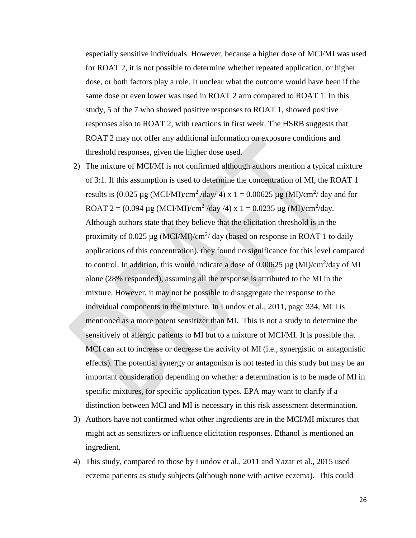especially sensitive individuals. However, because a higher dose of MCI/MI was used for ROAT 2, it is not possible to determine whether repeated application, or higher dose, or both factors play a role. It unclear what the outcome would have been if the same dose or even lower was used in ROAT 2 arm compared to ROAT 1. In this study, 5 of the 7 who showed positive responses to ROAT 1, showed positive responses also to ROAT 2, with reactions in first week. The HSRB suggests that ROAT 2 may not offer any additional information on exposure conditions and threshold responses, given the higher dose used.

- 2) The mixture of MCI/MI is not confirmed although authors mention a typical mixture of 3:1. If this assumption is used to determine the concentration of MI, the ROAT 1 results is  $(0.025 \mu g (MCI/MI)/cm^2/day/4)$  x 1 = 0.00625  $\mu g (MI)/cm^2/day$  and for ROAT 2 =  $(0.094 \,\mu g \,(MCI/MI)/cm^2$ /day /4) x 1 = 0.0235  $\mu g \,(MI)/cm^2$ /day. Although authors state that they believe that the elicitation threshold is in the proximity of 0.025  $\mu$ g (MCI/MI)/cm<sup>2</sup>/ day (based on response in ROAT 1 to daily applications of this concentration), they found no significance for this level compared to control. In addition, this would indicate a dose of  $0.00625 \,\mu$ g (MI)/cm<sup>2</sup>/day of MI alone (28% responded), assuming all the response is attributed to the MI in the mixture. However, it may not be possible to disaggregate the response to the individual components in the mixture. In Lundov et al., 2011, page 334, MCI is mentioned as a more potent sensitizer than MI. This is not a study to determine the sensitively of allergic patients to MI but to a mixture of MCI/MI. It is possible that MCI can act to increase or decrease the activity of MI (i.e., synergistic or antagonistic effects). The potential synergy or antagonism is not tested in this study but may be an important consideration depending on whether a determination is to be made of MI in specific mixtures, for specific application types. EPA may want to clarify if a distinction between MCI and MI is necessary in this risk assessment determination.
- 3) Authors have not confirmed what other ingredients are in the MCI/MI mixtures that might act as sensitizers or influence elicitation responses. Ethanol is mentioned an ingredient.
- 4) This study, compared to those by Lundov et al., 2011 and Yazar et al., 2015 used eczema patients as study subjects (although none with active eczema). This could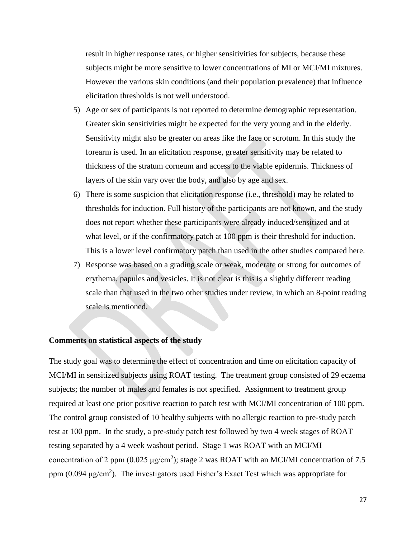result in higher response rates, or higher sensitivities for subjects, because these subjects might be more sensitive to lower concentrations of MI or MCI/MI mixtures. However the various skin conditions (and their population prevalence) that influence elicitation thresholds is not well understood.

- 5) Age or sex of participants is not reported to determine demographic representation. Greater skin sensitivities might be expected for the very young and in the elderly. Sensitivity might also be greater on areas like the face or scrotum. In this study the forearm is used. In an elicitation response, greater sensitivity may be related to thickness of the stratum corneum and access to the viable epidermis. Thickness of layers of the skin vary over the body, and also by age and sex.
- 6) There is some suspicion that elicitation response (i.e., threshold) may be related to thresholds for induction. Full history of the participants are not known, and the study does not report whether these participants were already induced/sensitized and at what level, or if the confirmatory patch at 100 ppm is their threshold for induction. This is a lower level confirmatory patch than used in the other studies compared here.
- 7) Response was based on a grading scale or weak, moderate or strong for outcomes of erythema, papules and vesicles. It is not clear is this is a slightly different reading scale than that used in the two other studies under review, in which an 8-point reading scale is mentioned.

#### **Comments on statistical aspects of the study**

The study goal was to determine the effect of concentration and time on elicitation capacity of MCI/MI in sensitized subjects using ROAT testing. The treatment group consisted of 29 eczema subjects; the number of males and females is not specified. Assignment to treatment group required at least one prior positive reaction to patch test with MCI/MI concentration of 100 ppm. The control group consisted of 10 healthy subjects with no allergic reaction to pre-study patch test at 100 ppm. In the study, a pre-study patch test followed by two 4 week stages of ROAT testing separated by a 4 week washout period. Stage 1 was ROAT with an MCI/MI concentration of 2 ppm (0.025  $\mu$ g/cm<sup>2</sup>); stage 2 was ROAT with an MCI/MI concentration of 7.5 ppm  $(0.094 \,\mu\text{g/cm}^2)$ . The investigators used Fisher's Exact Test which was appropriate for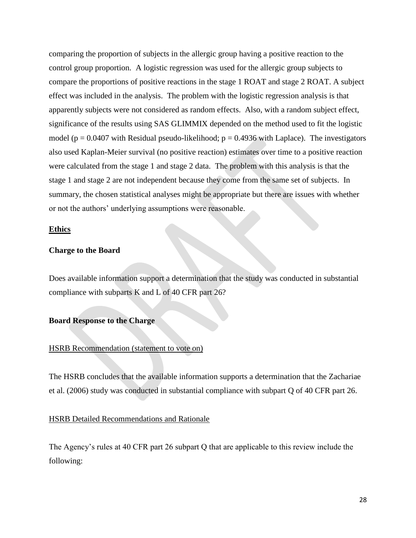comparing the proportion of subjects in the allergic group having a positive reaction to the control group proportion. A logistic regression was used for the allergic group subjects to compare the proportions of positive reactions in the stage 1 ROAT and stage 2 ROAT. A subject effect was included in the analysis. The problem with the logistic regression analysis is that apparently subjects were not considered as random effects. Also, with a random subject effect, significance of the results using SAS GLIMMIX depended on the method used to fit the logistic model ( $p = 0.0407$  with Residual pseudo-likelihood;  $p = 0.4936$  with Laplace). The investigators also used Kaplan-Meier survival (no positive reaction) estimates over time to a positive reaction were calculated from the stage 1 and stage 2 data. The problem with this analysis is that the stage 1 and stage 2 are not independent because they come from the same set of subjects. In summary, the chosen statistical analyses might be appropriate but there are issues with whether or not the authors' underlying assumptions were reasonable.

#### **Ethics**

#### **Charge to the Board**

Does available information support a determination that the study was conducted in substantial compliance with subparts K and L of 40 CFR part 26?

#### **Board Response to the Charge**

### HSRB Recommendation (statement to vote on)

The HSRB concludes that the available information supports a determination that the Zachariae et al. (2006) study was conducted in substantial compliance with subpart Q of 40 CFR part 26.

# HSRB Detailed Recommendations and Rationale

The Agency's rules at 40 CFR part 26 subpart Q that are applicable to this review include the following: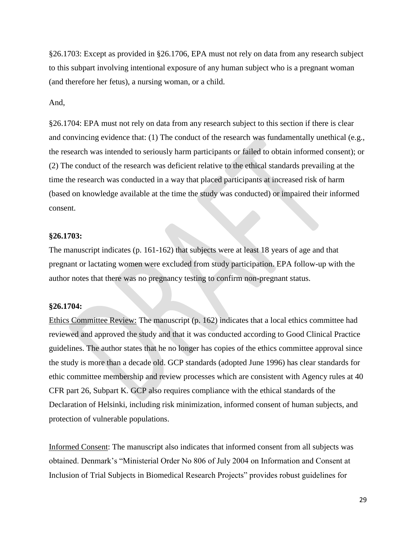§26.1703: Except as provided in §26.1706, EPA must not rely on data from any research subject to this subpart involving intentional exposure of any human subject who is a pregnant woman (and therefore her fetus), a nursing woman, or a child.

#### And,

§26.1704: EPA must not rely on data from any research subject to this section if there is clear and convincing evidence that: (1) The conduct of the research was fundamentally unethical (e.g., the research was intended to seriously harm participants or failed to obtain informed consent); or (2) The conduct of the research was deficient relative to the ethical standards prevailing at the time the research was conducted in a way that placed participants at increased risk of harm (based on knowledge available at the time the study was conducted) or impaired their informed consent.

#### **§26.1703:**

The manuscript indicates (p. 161-162) that subjects were at least 18 years of age and that pregnant or lactating women were excluded from study participation. EPA follow-up with the author notes that there was no pregnancy testing to confirm non-pregnant status.

#### **§26.1704:**

Ethics Committee Review: The manuscript (p. 162) indicates that a local ethics committee had reviewed and approved the study and that it was conducted according to Good Clinical Practice guidelines. The author states that he no longer has copies of the ethics committee approval since the study is more than a decade old. GCP standards (adopted June 1996) has clear standards for ethic committee membership and review processes which are consistent with Agency rules at 40 CFR part 26, Subpart K. GCP also requires compliance with the ethical standards of the Declaration of Helsinki, including risk minimization, informed consent of human subjects, and protection of vulnerable populations.

Informed Consent: The manuscript also indicates that informed consent from all subjects was obtained. Denmark's "Ministerial Order No 806 of July 2004 on Information and Consent at Inclusion of Trial Subjects in Biomedical Research Projects" provides robust guidelines for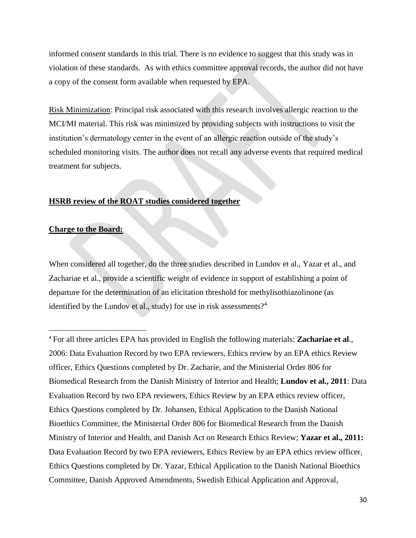informed consent standards in this trial. There is no evidence to suggest that this study was in violation of these standards. As with ethics committee approval records, the author did not have a copy of the consent form available when requested by EPA.

Risk Minimization: Principal risk associated with this research involves allergic reaction to the MCI/MI material. This risk was minimized by providing subjects with instructions to visit the institution's dermatology center in the event of an allergic reaction outside of the study's scheduled monitoring visits. The author does not recall any adverse events that required medical treatment for subjects.

#### **HSRB review of the ROAT studies considered together**

# **Charge to the Board:**

 $\overline{a}$ 

When considered all together, do the three studies described in Lundov et al., Yazar et al., and Zachariae et al., provide a scientific weight of evidence in support of establishing a point of departure for the determination of an elicitation threshold for methylisothiazolinone (as identified by the Lundov et al., study) for use in risk assessments?<sup>4</sup>

<sup>4</sup> For all three articles EPA has provided in English the following materials: **Zachariae et al**., 2006: Data Evaluation Record by two EPA reviewers, Ethics review by an EPA ethics Review officer, Ethics Questions completed by Dr. Zacharie, and the Ministerial Order 806 for Biomedical Research from the Danish Ministry of Interior and Health; **Lundov et al., 2011**: Data Evaluation Record by two EPA reviewers, Ethics Review by an EPA ethics review officer, Ethics Questions completed by Dr. Johansen, Ethical Application to the Danish National Bioethics Committee, the Ministerial Order 806 for Biomedical Research from the Danish Ministry of Interior and Health, and Danish Act on Research Ethics Review; **Yazar et al., 2011:** Data Evaluation Record by two EPA reviewers, Ethics Review by an EPA ethics review officer, Ethics Questions completed by Dr. Yazar, Ethical Application to the Danish National Bioethics Committee, Danish Approved Amendments, Swedish Ethical Application and Approval,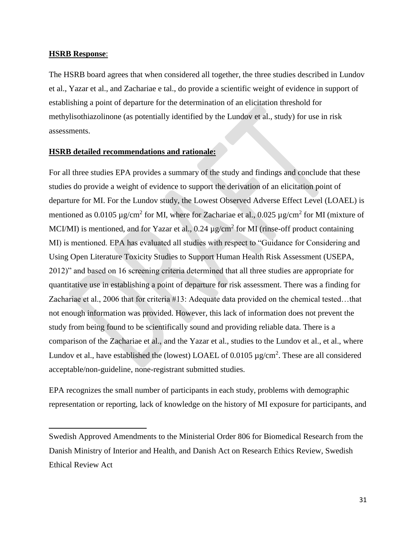#### **HSRB Response**:

 $\overline{\phantom{a}}$ 

The HSRB board agrees that when considered all together, the three studies described in Lundov et al., Yazar et al., and Zachariae e tal., do provide a scientific weight of evidence in support of establishing a point of departure for the determination of an elicitation threshold for methylisothiazolinone (as potentially identified by the Lundov et al., study) for use in risk assessments.

#### **HSRB detailed recommendations and rationale:**

For all three studies EPA provides a summary of the study and findings and conclude that these studies do provide a weight of evidence to support the derivation of an elicitation point of departure for MI. For the Lundov study, the Lowest Observed Adverse Effect Level (LOAEL) is mentioned as 0.0105  $\mu$ g/cm<sup>2</sup> for MI, where for Zachariae et al., 0.025  $\mu$ g/cm<sup>2</sup> for MI (mixture of MCI/MI) is mentioned, and for Yazar et al.,  $0.24 \mu$ g/cm<sup>2</sup> for MI (rinse-off product containing MI) is mentioned. EPA has evaluated all studies with respect to "Guidance for Considering and Using Open Literature Toxicity Studies to Support Human Health Risk Assessment (USEPA, 2012)" and based on 16 screening criteria determined that all three studies are appropriate for quantitative use in establishing a point of departure for risk assessment. There was a finding for Zachariae et al., 2006 that for criteria #13: Adequate data provided on the chemical tested…that not enough information was provided. However, this lack of information does not prevent the study from being found to be scientifically sound and providing reliable data. There is a comparison of the Zachariae et al., and the Yazar et al., studies to the Lundov et al., et al., where Lundov et al., have established the (lowest) LOAEL of  $0.0105 \mu\text{g/cm}^2$ . These are all considered acceptable/non-guideline, none-registrant submitted studies.

EPA recognizes the small number of participants in each study, problems with demographic representation or reporting, lack of knowledge on the history of MI exposure for participants, and

Swedish Approved Amendments to the Ministerial Order 806 for Biomedical Research from the Danish Ministry of Interior and Health, and Danish Act on Research Ethics Review, Swedish Ethical Review Act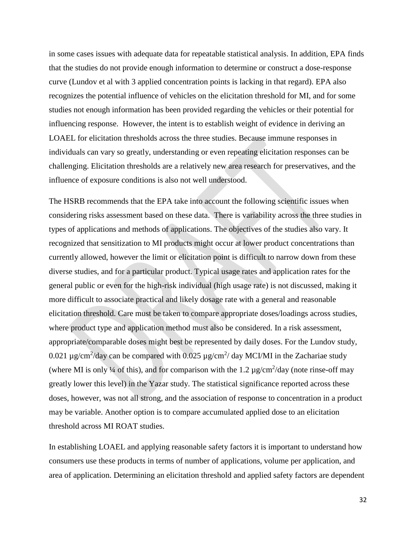in some cases issues with adequate data for repeatable statistical analysis. In addition, EPA finds that the studies do not provide enough information to determine or construct a dose-response curve (Lundov et al with 3 applied concentration points is lacking in that regard). EPA also recognizes the potential influence of vehicles on the elicitation threshold for MI, and for some studies not enough information has been provided regarding the vehicles or their potential for influencing response. However, the intent is to establish weight of evidence in deriving an LOAEL for elicitation thresholds across the three studies. Because immune responses in individuals can vary so greatly, understanding or even repeating elicitation responses can be challenging. Elicitation thresholds are a relatively new area research for preservatives, and the influence of exposure conditions is also not well understood.

The HSRB recommends that the EPA take into account the following scientific issues when considering risks assessment based on these data. There is variability across the three studies in types of applications and methods of applications. The objectives of the studies also vary. It recognized that sensitization to MI products might occur at lower product concentrations than currently allowed, however the limit or elicitation point is difficult to narrow down from these diverse studies, and for a particular product. Typical usage rates and application rates for the general public or even for the high-risk individual (high usage rate) is not discussed, making it more difficult to associate practical and likely dosage rate with a general and reasonable elicitation threshold. Care must be taken to compare appropriate doses/loadings across studies, where product type and application method must also be considered. In a risk assessment, appropriate/comparable doses might best be represented by daily doses. For the Lundov study, 0.021  $\mu$ g/cm<sup>2</sup>/day can be compared with 0.025  $\mu$ g/cm<sup>2</sup>/day MCI/MI in the Zachariae study (where MI is only  $\frac{1}{4}$  of this), and for comparison with the 1.2  $\mu$ g/cm<sup>2</sup>/day (note rinse-off may greatly lower this level) in the Yazar study. The statistical significance reported across these doses, however, was not all strong, and the association of response to concentration in a product may be variable. Another option is to compare accumulated applied dose to an elicitation threshold across MI ROAT studies.

In establishing LOAEL and applying reasonable safety factors it is important to understand how consumers use these products in terms of number of applications, volume per application, and area of application. Determining an elicitation threshold and applied safety factors are dependent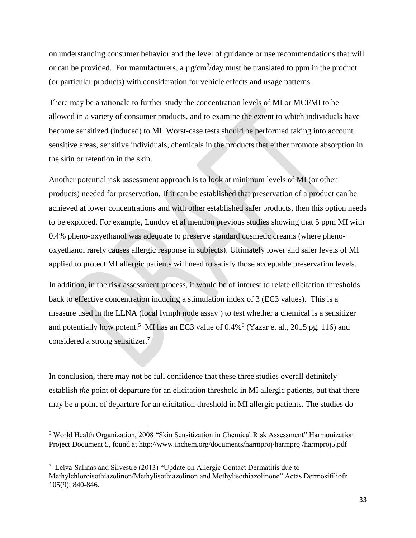on understanding consumer behavior and the level of guidance or use recommendations that will or can be provided. For manufacturers, a  $\mu$  g/cm<sup>2</sup>/day must be translated to ppm in the product (or particular products) with consideration for vehicle effects and usage patterns.

There may be a rationale to further study the concentration levels of MI or MCI/MI to be allowed in a variety of consumer products, and to examine the extent to which individuals have become sensitized (induced) to MI. Worst-case tests should be performed taking into account sensitive areas, sensitive individuals, chemicals in the products that either promote absorption in the skin or retention in the skin.

Another potential risk assessment approach is to look at minimum levels of MI (or other products) needed for preservation. If it can be established that preservation of a product can be achieved at lower concentrations and with other established safer products, then this option needs to be explored. For example, Lundov et al mention previous studies showing that 5 ppm MI with 0.4% pheno-oxyethanol was adequate to preserve standard cosmetic creams (where phenooxyethanol rarely causes allergic response in subjects). Ultimately lower and safer levels of MI applied to protect MI allergic patients will need to satisfy those acceptable preservation levels.

In addition, in the risk assessment process, it would be of interest to relate elicitation thresholds back to effective concentration inducing a stimulation index of 3 (EC3 values). This is a measure used in the LLNA (local lymph node assay ) to test whether a chemical is a sensitizer and potentially how potent.<sup>5</sup> MI has an EC3 value of  $0.4\%$ <sup>6</sup> (Yazar et al., 2015 pg. 116) and considered a strong sensitizer. 7

In conclusion, there may not be full confidence that these three studies overall definitely establish *the* point of departure for an elicitation threshold in MI allergic patients, but that there may be *a* point of departure for an elicitation threshold in MI allergic patients. The studies do

 $\overline{a}$ 

<sup>5</sup> World Health Organization, 2008 "Skin Sensitization in Chemical Risk Assessment" Harmonization Project Document 5, found at http://www.inchem.org/documents/harmproj/harmproj/harmproj5.pdf

 $7$  Leiva-Salinas and Silvestre (2013) "Update on Allergic Contact Dermatitis due to Methylchloroisothiazolinon/Methylisothiazolinon and Methylisothiazolinone" Actas Dermosifiliofr 105(9): 840-846.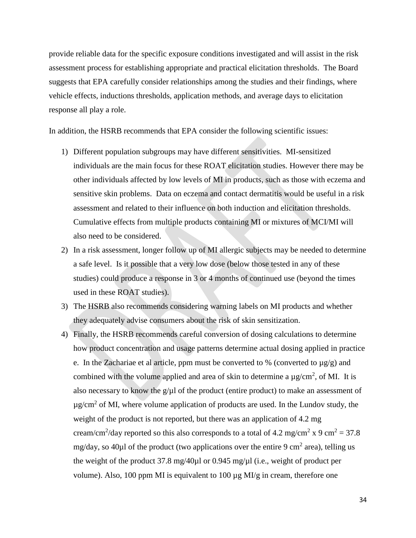provide reliable data for the specific exposure conditions investigated and will assist in the risk assessment process for establishing appropriate and practical elicitation thresholds. The Board suggests that EPA carefully consider relationships among the studies and their findings, where vehicle effects, inductions thresholds, application methods, and average days to elicitation response all play a role.

In addition, the HSRB recommends that EPA consider the following scientific issues:

- 1) Different population subgroups may have different sensitivities. MI-sensitized individuals are the main focus for these ROAT elicitation studies. However there may be other individuals affected by low levels of MI in products, such as those with eczema and sensitive skin problems. Data on eczema and contact dermatitis would be useful in a risk assessment and related to their influence on both induction and elicitation thresholds. Cumulative effects from multiple products containing MI or mixtures of MCI/MI will also need to be considered.
- 2) In a risk assessment, longer follow up of MI allergic subjects may be needed to determine a safe level. Is it possible that a very low dose (below those tested in any of these studies) could produce a response in 3 or 4 months of continued use (beyond the times used in these ROAT studies).
- 3) The HSRB also recommends considering warning labels on MI products and whether they adequately advise consumers about the risk of skin sensitization.
- 4) Finally, the HSRB recommends careful conversion of dosing calculations to determine how product concentration and usage patterns determine actual dosing applied in practice e. In the Zachariae et al article, ppm must be converted to % (converted to  $\mu$ g/g) and combined with the volume applied and area of skin to determine a  $\mu$ g/cm<sup>2</sup>, of MI. It is also necessary to know the  $g/\mu$  of the product (entire product) to make an assessment of  $\mu$ g/cm<sup>2</sup> of MI, where volume application of products are used. In the Lundov study, the weight of the product is not reported, but there was an application of 4.2 mg cream/cm<sup>2</sup>/day reported so this also corresponds to a total of 4.2 mg/cm<sup>2</sup> x 9 cm<sup>2</sup> = 37.8 mg/day, so 40 $\mu$ l of the product (two applications over the entire 9 cm<sup>2</sup> area), telling us the weight of the product 37.8 mg/40 $\mu$ l or 0.945 mg/ $\mu$ l (i.e., weight of product per volume). Also, 100 ppm MI is equivalent to 100  $\mu$ g MI/g in cream, therefore one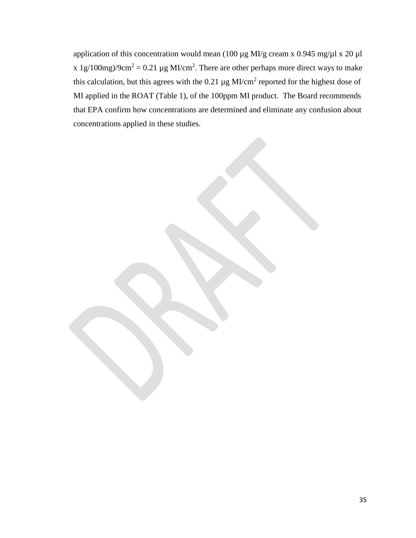application of this concentration would mean (100  $\mu$ g MI/g cream x 0.945 mg/ $\mu$ l x 20  $\mu$ l x 1g/100mg)/9cm<sup>2</sup> = 0.21 µg MI/cm<sup>2</sup>. There are other perhaps more direct ways to make this calculation, but this agrees with the 0.21  $\mu$ g MI/cm<sup>2</sup> reported for the highest dose of MI applied in the ROAT (Table 1), of the 100ppm MI product. The Board recommends that EPA confirm how concentrations are determined and eliminate any confusion about concentrations applied in these studies.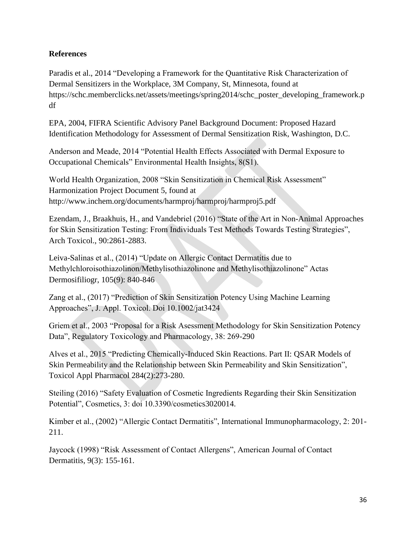# **References**

Paradis et al., 2014 "Developing a Framework for the Quantitative Risk Characterization of Dermal Sensitizers in the Workplace, 3M Company, St, Minnesota, found at https://schc.memberclicks.net/assets/meetings/spring2014/schc\_poster\_developing\_framework.p df

EPA, 2004, FIFRA Scientific Advisory Panel Background Document: Proposed Hazard Identification Methodology for Assessment of Dermal Sensitization Risk, Washington, D.C.

Anderson and Meade, 2014 "Potential Health Effects Associated with Dermal Exposure to Occupational Chemicals" Environmental Health Insights, 8(S1).

World Health Organization, 2008 "Skin Sensitization in Chemical Risk Assessment" Harmonization Project Document 5, found at http://www.inchem.org/documents/harmproj/harmproj/harmproj5.pdf

Ezendam, J., Braakhuis, H., and Vandebriel (2016) "State of the Art in Non-Animal Approaches for Skin Sensitization Testing: From Individuals Test Methods Towards Testing Strategies", Arch Toxicol., 90:2861-2883.

Leiva-Salinas et al., (2014) "Update on Allergic Contact Dermatitis due to Methylchloroisothiazolinon/Methylisothiazolinone and Methylisothiazolinone" Actas Dermosifiliogr, 105(9): 840-846

Zang et al., (2017) "Prediction of Skin Sensitization Potency Using Machine Learning Approaches", J. Appl. Toxicol. Doi 10.1002/jat3424

Griem et al., 2003 "Proposal for a Risk Asessment Methodology for Skin Sensitization Potency Data", Regulatory Toxicology and Pharmacology, 38: 269-290

Alves et al., 2015 "Predicting Chemically-Induced Skin Reactions. Part II: QSAR Models of Skin Permeability and the Relationship between Skin Permeability and Skin Sensitization", Toxicol Appl Pharmacol 284(2):273-280.

Steiling (2016) "Safety Evaluation of Cosmetic Ingredients Regarding their Skin Sensitization Potential", Cosmetics, 3: doi 10.3390/cosmetics3020014.

Kimber et al., (2002) "Allergic Contact Dermatitis", International Immunopharmacology, 2: 201- 211.

Jaycock (1998) "Risk Assessment of Contact Allergens", American Journal of Contact Dermatitis, 9(3): 155-161.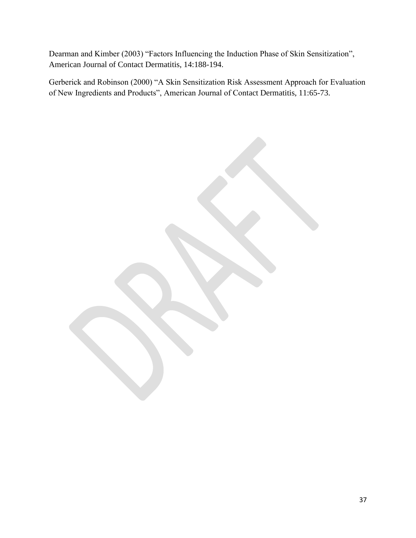Dearman and Kimber (2003) "Factors Influencing the Induction Phase of Skin Sensitization", American Journal of Contact Dermatitis, 14:188-194.

Gerberick and Robinson (2000) "A Skin Sensitization Risk Assessment Approach for Evaluation of New Ingredients and Products", American Journal of Contact Dermatitis, 11:65-73.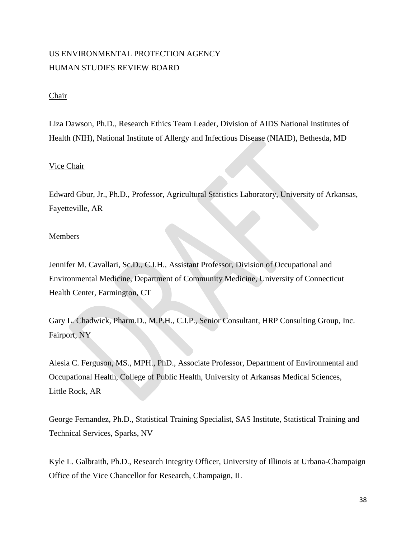# US ENVIRONMENTAL PROTECTION AGENCY HUMAN STUDIES REVIEW BOARD

# Chair

Liza Dawson, Ph.D., Research Ethics Team Leader, Division of AIDS National Institutes of Health (NIH), National Institute of Allergy and Infectious Disease (NIAID), Bethesda, MD

# Vice Chair

Edward Gbur, Jr., Ph.D., Professor, Agricultural Statistics Laboratory, University of Arkansas, Fayetteville, AR

### Members

Jennifer M. Cavallari, Sc.D., C.I.H., Assistant Professor, Division of Occupational and Environmental Medicine, Department of Community Medicine, University of Connecticut Health Center, Farmington, CT

Gary L. Chadwick, Pharm.D., M.P.H., C.I.P., Senior Consultant, HRP Consulting Group, Inc. Fairport, NY

Alesia C. Ferguson, MS., MPH., PhD., Associate Professor, Department of Environmental and Occupational Health, College of Public Health, University of Arkansas Medical Sciences, Little Rock, AR

George Fernandez, Ph.D., Statistical Training Specialist, SAS Institute, Statistical Training and Technical Services, Sparks, NV

Kyle L. Galbraith, Ph.D., Research Integrity Officer, University of Illinois at Urbana-Champaign Office of the Vice Chancellor for Research, Champaign, IL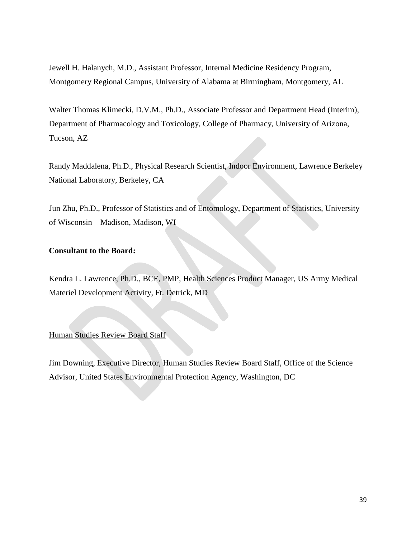Jewell H. Halanych, M.D., Assistant Professor, Internal Medicine Residency Program, Montgomery Regional Campus, University of Alabama at Birmingham, Montgomery, AL

Walter Thomas Klimecki, D.V.M., Ph.D., Associate Professor and Department Head (Interim), Department of Pharmacology and Toxicology, College of Pharmacy, University of Arizona, Tucson, AZ

Randy Maddalena, Ph.D., Physical Research Scientist, Indoor Environment, Lawrence Berkeley National Laboratory, Berkeley, CA

Jun Zhu, Ph.D., Professor of Statistics and of Entomology, Department of Statistics, University of Wisconsin – Madison, Madison, WI

# **Consultant to the Board:**

Kendra L. Lawrence, Ph.D., BCE, PMP, Health Sciences Product Manager, US Army Medical Materiel Development Activity, Ft. Detrick, MD

#### Human Studies Review Board Staff

Jim Downing, Executive Director, Human Studies Review Board Staff, Office of the Science Advisor, United States Environmental Protection Agency, Washington, DC